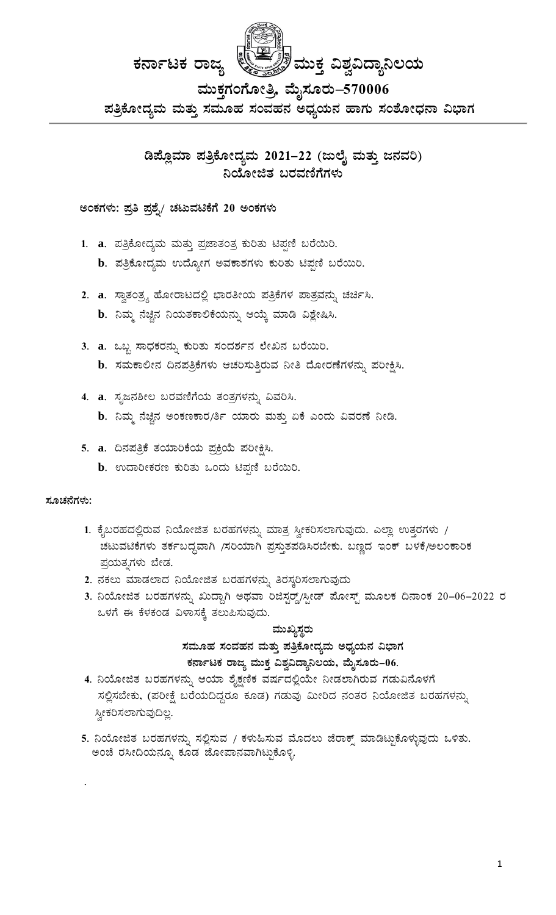ಡಿಪ್ಲೊಮಾ ಪತ್ರಿಕೋದ್ಯಮ 2021–22 (ಜುಲೈ ಮತ್ತು ಜನವರಿ) ನಿಯೋಜಿತ ಬರವಣಿಗೆಗಳು

### ಅಂಕಗಳು: ಪ್ರತಿ ಪ್ರಶೈ/ ಚಟುವಟಿಕೆಗೆ 20 ಅಂಕಗಳು

- 1. a. ಪತ್ರಿಕೋದ್ಯಮ ಮತ್ತು ಪ್ರಜಾತಂತ್ರ ಕುರಿತು ಟಿಪ್ಪಣಿ ಬರೆಯಿರಿ.
	- $\mathbf b$ . ಪತ್ರಿಕೋದ್ಯಮ ಉದ್ಯೋಗ ಅವಕಾಶಗಳು ಕುರಿತು ಟಿಪ್ಪಣಿ ಬರೆಯಿರಿ.
- 2. a. ಸ್ವಾತಂತ್ರ್ಯ ಹೋರಾಟದಲ್ಲಿ ಭಾರತೀಯ ಪತ್ರಿಕೆಗಳ ಪಾತ್ರವನ್ನು ಚರ್ಚಿಸಿ. b. ನಿಮ್ಮ ನೆಚ್ಚಿನ ನಿಯತಕಾಲಿಕೆಯನ್ನು ಆಯ್ಕೆ ಮಾಡಿ ವಿಶ್ಲೇಷಿಸಿ.
- 3. a. ಒಬ್ಬ ಸಾಧಕರನ್ನು ಕುರಿತು ಸಂದರ್ಶನ ಲೇಖನ ಬರೆಯಿರಿ. b. ಸಮಕಾಲೀನ ದಿನಪತ್ರಿಕೆಗಳು ಆಚರಿಸುತ್ತಿರುವ ನೀತಿ ದೋರಣೆಗಳನ್ನು ಪರೀಕ್ಷಿಸಿ.
- 4. a. ಸೃಜನಶೀಲ ಬರವಣಿಗೆಯ ತಂತ್ರಗಳನ್ನು ವಿವರಿಸಿ.
	- $\mathbf b$ . ನಿಮ್ಮ ನೆಚ್ಚಿನ ಅಂಕಣಕಾರ/ರ್ತಿ ಯಾರು ಮತ್ತು ಏಕೆ ಎಂದು ವಿವರಣೆ ನೀಡಿ.
- 5. a. ದಿನಪತ್ರಿಕೆ ತಯಾರಿಕೆಯ ಪ್ರಕ್ರಿಯೆ ಪರೀಕ್ಷಿಸಿ.
	- b. ಉದಾರೀಕರಣ ಕುರಿತು ಒಂದು ಟಿಪ್ಪಣಿ ಬರೆಯಿರಿ.

### ಸೂಚನೆಗಳು:

- 1. ಕೈಬರಹದಲ್ಲಿರುವ ನಿಯೋಜಿತ ಬರಹಗಳನ್ನು ಮಾತ್ರ ಸ್ವೀಕರಿಸಲಾಗುವುದು. ಎಲ್ಲಾ ಉತ್ತರಗಳು / ಚಟುವಟಿಕೆಗಳು ತರ್ಕಬದ್ಧವಾಗಿ /ಸರಿಯಾಗಿ ಪ್ರಸ್ತುತಪಡಿಸಿರಬೇಕು. ಬಣ್ಣದ ಇಂಕ್ ಬಳಕೆ/ಅಲಂಕಾರಿಕ ಪ್ರಯತ್ನಗಳು ಬೇಡ.
- 2. ನಕಲು ಮಾಡಲಾದ ನಿಯೋಜಿತ ಬರಹಗಳನ್ನು ತಿರಸ್ಕರಿಸಲಾಗುವುದು
- 3. ನಿಯೋಜಿತ ಬರಹಗಳನ್ನು ಖುದ್ದಾಗಿ ಅಥವಾ ರಿಜಿಸ್ಟರ್ಡ್ಡ್/ಸ್ಪೀಡ್ ಮೋಸ್ಟ್ ಮೂಲಕ ದಿನಾಂಕ 20–06–2022 ರ ಒಳಗೆ ಈ ಕೆಳಕಂಡ ವಿಳಾಸಕ್ಕೆ ತಲುಪಿಸುವುದು.

## ಮುಖ್ಯಸ್ಥರು ಸಮೂಹ ಸಂವಹನ ಮತ್ತು ಪತ್ರಿಕೋದ್ಯಮ ಅಧ್ಯಯನ ವಿಭಾಗ ಕರ್ನಾಟಕ ರಾಜ್ಯ ಮುಕ್ತ ವಿಶ್ವವಿದ್ಯಾನಿಲಯ, ಮೈಸೂರು–06.

- 4. ನಿಯೋಜಿತ ಬರಹಗಳನ್ನು ಆಯಾ ಶೈಕ್ಷಣಿಕ ವರ್ಷದಲ್ಲಿಯೇ ನೀಡಲಾಗಿರುವ ಗಡುವಿನೊಳಗೆ ಸಲ್ಲಿಸಬೇಕು, (ಪರೀಕ್ಷೆ ಬರೆಯದಿದ್ದರೂ ಕೂಡ) ಗಡುವು ಮೀರಿದ ನಂತರ ನಿಯೋಜಿತ ಬರಹಗಳನ್ನು ಸ್ವೀಕರಿಸಲಾಗುವುದಿಲ್ಲ.
- 5. ನಿಯೋಜಿತ ಬರಹಗಳನ್ನು ಸಲ್ಲಿಸುವ / ಕಳುಹಿಸುವ ಮೊದಲು ಜೆರಾಕ್ಸ್ ಮಾಡಿಟ್ಟುಕೊಳ್ಳುವುದು ಒಳಿತು. ಅಂಚೆ ರಸೀದಿಯನ್ನೂ ಕೂಡ ಜೋಪಾನವಾಗಿಟ್ಟುಕೊಳ್ಳಿ.